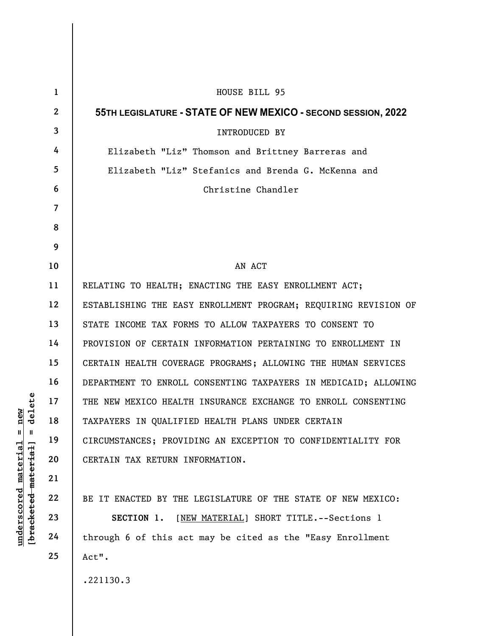| delete<br>new<br>Щ<br>- II<br>underscored material<br>[ <del>bracketed material</del> ] | $\mathbf{1}$   | HOUSE BILL 95                                                   |
|-----------------------------------------------------------------------------------------|----------------|-----------------------------------------------------------------|
|                                                                                         | $\mathbf{2}$   | 55TH LEGISLATURE - STATE OF NEW MEXICO - SECOND SESSION, 2022   |
|                                                                                         | $\mathbf{3}$   | INTRODUCED BY                                                   |
|                                                                                         | 4              | Elizabeth "Liz" Thomson and Brittney Barreras and               |
|                                                                                         | 5              | Elizabeth "Liz" Stefanics and Brenda G. McKenna and             |
|                                                                                         | 6              | Christine Chandler                                              |
|                                                                                         | $\overline{7}$ |                                                                 |
|                                                                                         | 8              |                                                                 |
|                                                                                         | 9              |                                                                 |
|                                                                                         | 10             | AN ACT                                                          |
|                                                                                         | 11             | RELATING TO HEALTH; ENACTING THE EASY ENROLLMENT ACT;           |
|                                                                                         | 12             | ESTABLISHING THE EASY ENROLLMENT PROGRAM; REQUIRING REVISION OF |
|                                                                                         | 13             | STATE INCOME TAX FORMS TO ALLOW TAXPAYERS TO CONSENT TO         |
|                                                                                         | 14             | PROVISION OF CERTAIN INFORMATION PERTAINING TO ENROLLMENT IN    |
|                                                                                         | 15             | CERTAIN HEALTH COVERAGE PROGRAMS; ALLOWING THE HUMAN SERVICES   |
|                                                                                         | 16             | DEPARTMENT TO ENROLL CONSENTING TAXPAYERS IN MEDICAID; ALLOWING |
|                                                                                         | 17             | THE NEW MEXICO HEALTH INSURANCE EXCHANGE TO ENROLL CONSENTING   |
|                                                                                         | 18             | TAXPAYERS IN QUALIFIED HEALTH PLANS UNDER CERTAIN               |
|                                                                                         | 19             | CIRCUMSTANCES; PROVIDING AN EXCEPTION TO CONFIDENTIALITY FOR    |
|                                                                                         | 20             | CERTAIN TAX RETURN INFORMATION.                                 |
|                                                                                         | 21             |                                                                 |
|                                                                                         | 22             | BE IT ENACTED BY THE LEGISLATURE OF THE STATE OF NEW MEXICO:    |
|                                                                                         | 23             | [NEW MATERIAL] SHORT TITLE. -- Sections 1<br>SECTION 1.         |
|                                                                                         | 24             | through 6 of this act may be cited as the "Easy Enrollment      |
|                                                                                         | 25             | Act".                                                           |
|                                                                                         |                | .221130.3                                                       |

 $\mathsf I$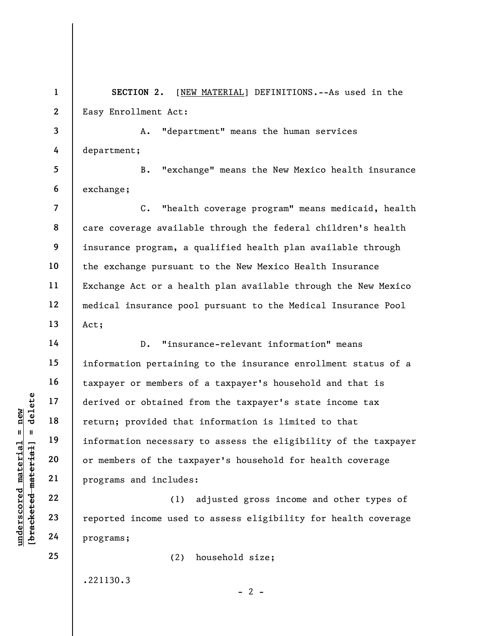1 2 SECTION 2. [NEW MATERIAL] DEFINITIONS. -- As used in the Easy Enrollment Act:

3 4 A. "department" means the human services department;

5 6 B. "exchange" means the New Mexico health insurance exchange;

8 9 10 12 13 C. "health coverage program" means medicaid, health care coverage available through the federal children's health insurance program, a qualified health plan available through the exchange pursuant to the New Mexico Health Insurance Exchange Act or a health plan available through the New Mexico medical insurance pool pursuant to the Medical Insurance Pool Act;

underscored material = new [bracketed material] = delete D. "insurance-relevant information" means information pertaining to the insurance enrollment status of a taxpayer or members of a taxpayer's household and that is derived or obtained from the taxpayer's state income tax return; provided that information is limited to that information necessary to assess the eligibility of the taxpayer or members of the taxpayer's household for health coverage programs and includes:

(1) adjusted gross income and other types of reported income used to assess eligibility for health coverage programs;

 $- 2 -$ 

(2) household size;

.221130.3

7

11

14

15

16

17

18

19

20

21

22

23

24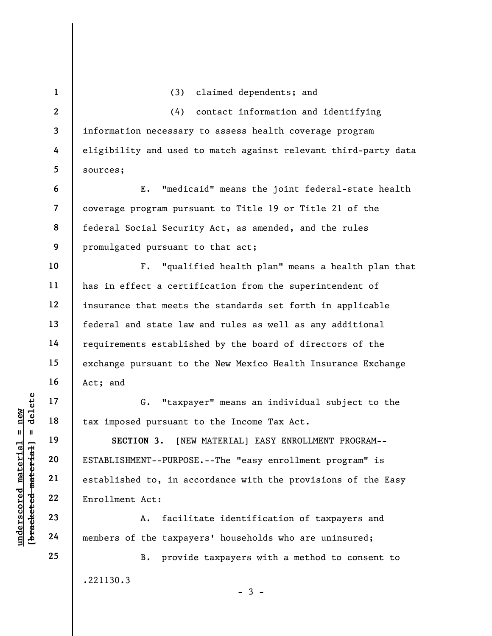UN EXTABLISHMENT--PURPOS<br>
UN ESTABLISHMENT--PURPOS<br>
UN ESTABLISHMENT--PURPOS<br>
21<br>
UN ESTABLISHMENT--PURPOS<br>
22<br>
ENTABLISHMENT--PURPOS<br>
22<br>
ENTABLISHMENT--PURPOS<br>
24<br>
ENTABLISHMENT--PURPOS<br>
24<br>
TENTALLISHMENT--PURPOS<br>
A. fa 1 2 3 4 5 6 7 8 9 10 11 12 13 14 15 16 17 18 19 20 21 22 23 24 25 (3) claimed dependents; and (4) contact information and identifying information necessary to assess health coverage program eligibility and used to match against relevant third-party data sources; E. "medicaid" means the joint federal-state health coverage program pursuant to Title 19 or Title 21 of the federal Social Security Act, as amended, and the rules promulgated pursuant to that act; F. "qualified health plan" means a health plan that has in effect a certification from the superintendent of insurance that meets the standards set forth in applicable federal and state law and rules as well as any additional requirements established by the board of directors of the exchange pursuant to the New Mexico Health Insurance Exchange Act; and G. "taxpayer" means an individual subject to the tax imposed pursuant to the Income Tax Act. SECTION 3. [NEW MATERIAL] EASY ENROLLMENT PROGRAM--ESTABLISHMENT--PURPOSE.--The "easy enrollment program" is established to, in accordance with the provisions of the Easy Enrollment Act: A. facilitate identification of taxpayers and members of the taxpayers' households who are uninsured; B. provide taxpayers with a method to consent to .221130.3

 $-3 -$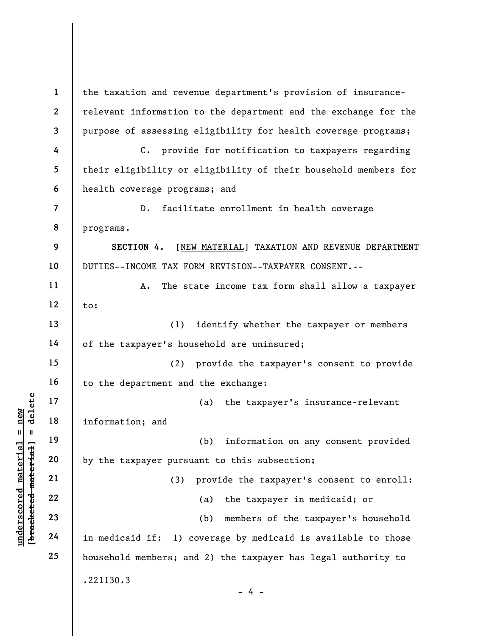under 17<br>
and 18<br>
information; and<br>
information; and<br>
information; and<br>
information; and<br>
by the taxpayer pursu<br>
(3)<br>
22<br>
23<br>
24<br>
in medicaid if: 1) c 1 2 3 4 5 6 7 8 9 10 11 12 13 14 15 16 17 18 19 20 21 22 23 24 25 the taxation and revenue department's provision of insurancerelevant information to the department and the exchange for the purpose of assessing eligibility for health coverage programs; C. provide for notification to taxpayers regarding their eligibility or eligibility of their household members for health coverage programs; and D. facilitate enrollment in health coverage programs. SECTION 4. [NEW MATERIAL] TAXATION AND REVENUE DEPARTMENT DUTIES--INCOME TAX FORM REVISION--TAXPAYER CONSENT.-- A. The state income tax form shall allow a taxpayer to: (1) identify whether the taxpayer or members of the taxpayer's household are uninsured; (2) provide the taxpayer's consent to provide to the department and the exchange: (a) the taxpayer's insurance-relevant information; and (b) information on any consent provided by the taxpayer pursuant to this subsection; (3) provide the taxpayer's consent to enroll: (a) the taxpayer in medicaid; or (b) members of the taxpayer's household in medicaid if: 1) coverage by medicaid is available to those household members; and 2) the taxpayer has legal authority to .221130.3 - 4 -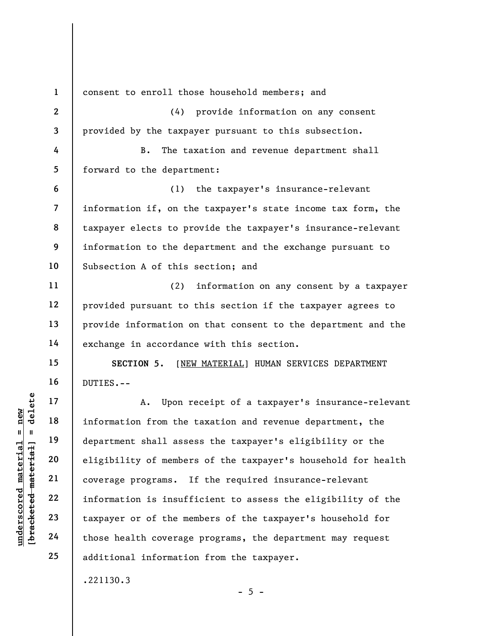underscored material = new [bracketed material] = delete 1 2 3 4 5 6 7 8 9 10 11 12 13 14 15 16 17 18 19 20 21 22 23 24 25 consent to enroll those household members; and (4) provide information on any consent provided by the taxpayer pursuant to this subsection. B. The taxation and revenue department shall forward to the department: (1) the taxpayer's insurance-relevant information if, on the taxpayer's state income tax form, the taxpayer elects to provide the taxpayer's insurance-relevant information to the department and the exchange pursuant to Subsection A of this section; and (2) information on any consent by a taxpayer provided pursuant to this section if the taxpayer agrees to provide information on that consent to the department and the exchange in accordance with this section. SECTION 5. [NEW MATERIAL] HUMAN SERVICES DEPARTMENT DUTIES.-- A. Upon receipt of a taxpayer's insurance-relevant information from the taxation and revenue department, the department shall assess the taxpayer's eligibility or the eligibility of members of the taxpayer's household for health coverage programs. If the required insurance-relevant information is insufficient to assess the eligibility of the taxpayer or of the members of the taxpayer's household for those health coverage programs, the department may request additional information from the taxpayer. .221130.3

 $- 5 -$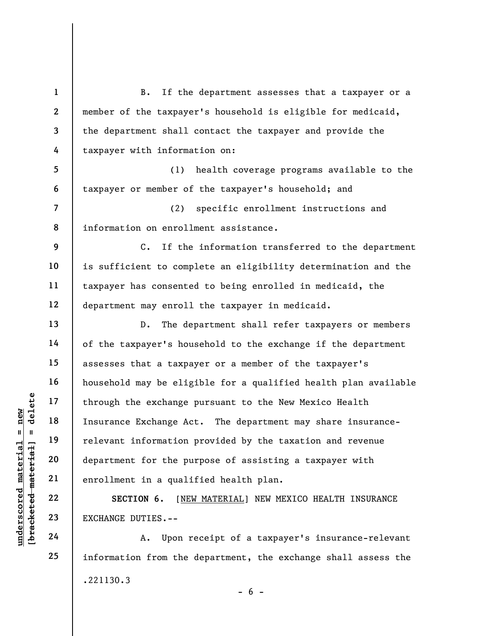UNDER THE MANGE DUTIES.<br>
UNDER THE MANGE DUTIES.<br>
UNDER THE MANGE DUTIES.<br>
UNDER THE MANGE DUTIES.<br>
UNDER THE MANGE DUTIES.<br>
UNDER THE MANGE DUTIES.<br>
UNDER THE MANGE DUTIES.<br>
THE MANGE DUTIES.<br>
UPON THE MANGE DUTIES.<br>
THE 1 2 3 4 5 6 7 8 9 10 11 12 13 14 15 16 17 18 19 20 21 22 23 24 25 B. If the department assesses that a taxpayer or a member of the taxpayer's household is eligible for medicaid, the department shall contact the taxpayer and provide the taxpayer with information on: (1) health coverage programs available to the taxpayer or member of the taxpayer's household; and (2) specific enrollment instructions and information on enrollment assistance. C. If the information transferred to the department is sufficient to complete an eligibility determination and the taxpayer has consented to being enrolled in medicaid, the department may enroll the taxpayer in medicaid. D. The department shall refer taxpayers or members of the taxpayer's household to the exchange if the department assesses that a taxpayer or a member of the taxpayer's household may be eligible for a qualified health plan available through the exchange pursuant to the New Mexico Health Insurance Exchange Act. The department may share insurancerelevant information provided by the taxation and revenue department for the purpose of assisting a taxpayer with enrollment in a qualified health plan. SECTION 6. [NEW MATERIAL] NEW MEXICO HEALTH INSURANCE EXCHANGE DUTIES.-- A. Upon receipt of a taxpayer's insurance-relevant information from the department, the exchange shall assess the

.221130.3

 $- 6 -$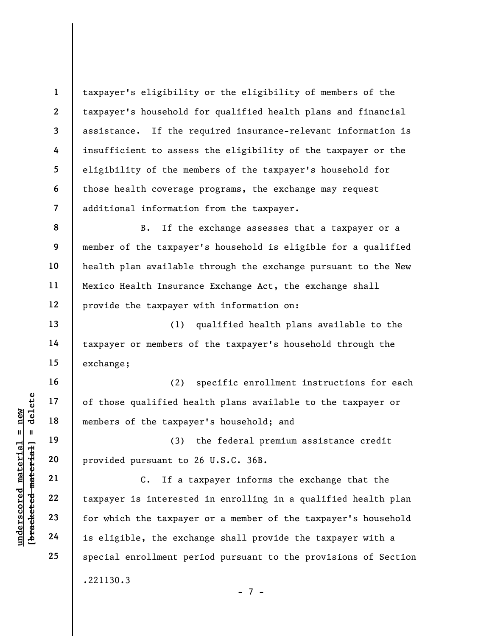1 2 3 4 5 6 7 taxpayer's eligibility or the eligibility of members of the taxpayer's household for qualified health plans and financial assistance. If the required insurance-relevant information is insufficient to assess the eligibility of the taxpayer or the eligibility of the members of the taxpayer's household for those health coverage programs, the exchange may request additional information from the taxpayer.

9 12 B. If the exchange assesses that a taxpayer or a member of the taxpayer's household is eligible for a qualified health plan available through the exchange pursuant to the New Mexico Health Insurance Exchange Act, the exchange shall provide the taxpayer with information on:

(1) qualified health plans available to the taxpayer or members of the taxpayer's household through the exchange;

(2) specific enrollment instructions for each of those qualified health plans available to the taxpayer or members of the taxpayer's household; and

(3) the federal premium assistance credit provided pursuant to 26 U.S.C. 36B.

underscore of those qualified he<br>  $\begin{array}{c|c|c|c} \hline \text{u} & \text{u} & \text{u} & \text{u} \\ \hline \text{u} & \text{u} & \text{u} & \text{u} \\ \hline \text{u} & \text{u} & \text{u} & \text{u} \\ \hline \text{u} & \text{u} & \text{u} & \text{u} \\ \hline \text{u} & \text{u} & \text{u} & \text{u} \\ \hline \text{u} & \text{u} & \text{u} & \text{u} \\ \hline \text{u} & \text{$ C. If a taxpayer informs the exchange that the taxpayer is interested in enrolling in a qualified health plan for which the taxpayer or a member of the taxpayer's household is eligible, the exchange shall provide the taxpayer with a special enrollment period pursuant to the provisions of Section .221130.3

- 7 -

8

10

11

13

14

15

16

17

18

19

20

21

22

23

24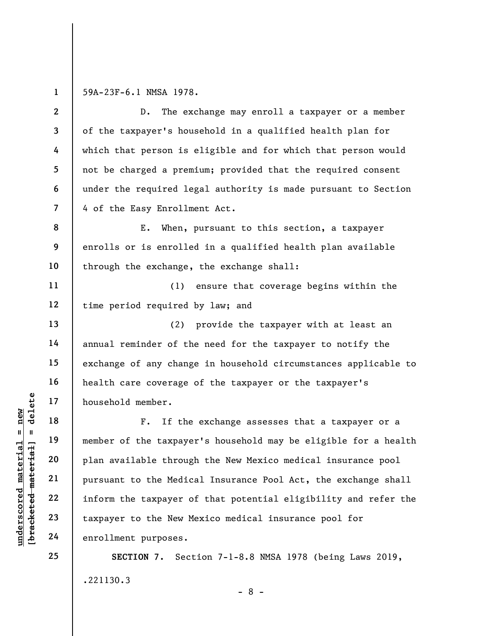1

11

12

13

14

15

16

17

18

19

20

21

22

23

24

25

59A-23F-6.1 NMSA 1978.

2 3 4 5 6 7 D. The exchange may enroll a taxpayer or a member of the taxpayer's household in a qualified health plan for which that person is eligible and for which that person would not be charged a premium; provided that the required consent under the required legal authority is made pursuant to Section 4 of the Easy Enrollment Act.

8 9 10 E. When, pursuant to this section, a taxpayer enrolls or is enrolled in a qualified health plan available through the exchange, the exchange shall:

(1) ensure that coverage begins within the time period required by law; and

(2) provide the taxpayer with at least an annual reminder of the need for the taxpayer to notify the exchange of any change in household circumstances applicable to health care coverage of the taxpayer or the taxpayer's household member.

understand material expanses.<br>
We are the taxpayer of the taxpayer of the taxpayer of the taxpayer of the taxpayer of the taxpayer corrections and the material of the Medic inform the taxpayer to the Medic inform the taxpa F. If the exchange assesses that a taxpayer or a member of the taxpayer's household may be eligible for a health plan available through the New Mexico medical insurance pool pursuant to the Medical Insurance Pool Act, the exchange shall inform the taxpayer of that potential eligibility and refer the taxpayer to the New Mexico medical insurance pool for enrollment purposes.

> SECTION 7. Section 7-1-8.8 NMSA 1978 (being Laws 2019, .221130.3

> > - 8 -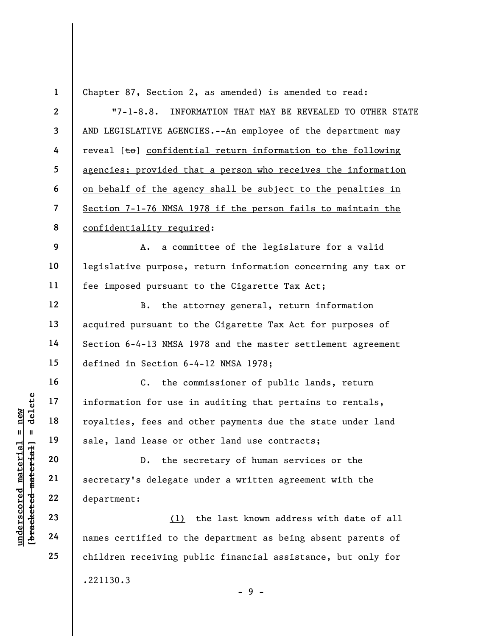understand to the set of the set of the set of the set of the set of the set of the set of the set of the set of the set of the set of the set of the set of the set of the set of the set of the set of the set of the set of 1 2 3 4 5 6 7 8 9 10 11 12 13 14 15 16 17 18 19 20 21 22 23 24 25 Chapter 87, Section 2, as amended) is amended to read: "7-1-8.8. INFORMATION THAT MAY BE REVEALED TO OTHER STATE AND LEGISLATIVE AGENCIES.--An employee of the department may reveal  $[t\Theta]$  confidential return information to the following agencies; provided that a person who receives the information on behalf of the agency shall be subject to the penalties in Section 7-1-76 NMSA 1978 if the person fails to maintain the confidentiality required: A. a committee of the legislature for a valid legislative purpose, return information concerning any tax or fee imposed pursuant to the Cigarette Tax Act; B. the attorney general, return information acquired pursuant to the Cigarette Tax Act for purposes of Section 6-4-13 NMSA 1978 and the master settlement agreement defined in Section 6-4-12 NMSA 1978; C. the commissioner of public lands, return information for use in auditing that pertains to rentals, royalties, fees and other payments due the state under land sale, land lease or other land use contracts; D. the secretary of human services or the secretary's delegate under a written agreement with the department: (1) the last known address with date of all names certified to the department as being absent parents of children receiving public financial assistance, but only for .221130.3

- 9 -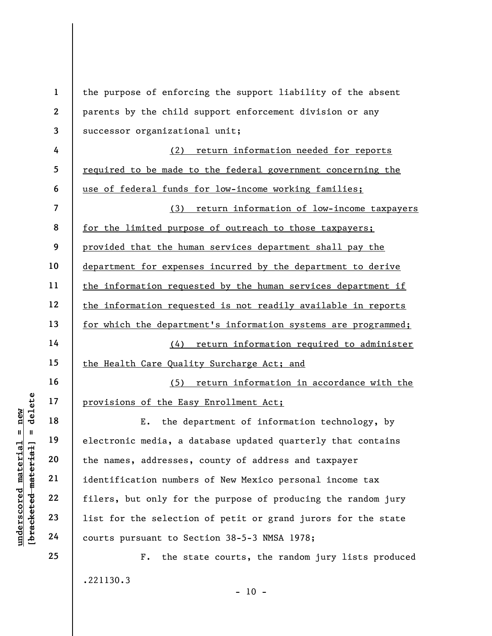|                                                           | $\mathbf{1}$             | the purpose of enforcing the support liability of the absent   |  |
|-----------------------------------------------------------|--------------------------|----------------------------------------------------------------|--|
|                                                           | $\boldsymbol{2}$         | parents by the child support enforcement division or any       |  |
|                                                           | 3                        | successor organizational unit;                                 |  |
|                                                           | 4                        | return information needed for reports<br>(2)                   |  |
|                                                           | 5                        | required to be made to the federal government concerning the   |  |
|                                                           | 6                        | use of federal funds for low-income working families;          |  |
|                                                           | $\overline{\mathcal{L}}$ | (3)<br>return information of low-income taxpayers              |  |
|                                                           | 8                        | for the limited purpose of outreach to those taxpayers;        |  |
|                                                           | 9                        | provided that the human services department shall pay the      |  |
|                                                           | 10                       | department for expenses incurred by the department to derive   |  |
|                                                           | 11                       | the information requested by the human services department if  |  |
|                                                           | 12                       | the information requested is not readily available in reports  |  |
|                                                           | 13                       | for which the department's information systems are programmed; |  |
|                                                           | 14                       | return information required to administer<br>(4)               |  |
|                                                           | 15                       | the Health Care Quality Surcharge Act; and                     |  |
|                                                           | 16                       | return information in accordance with the<br>(5)               |  |
| delete                                                    | 17                       | provisions of the Easy Enrollment Act;                         |  |
| new                                                       | 18                       | the department of information technology, by<br>Ε.             |  |
| Ш<br>$\mathbf{u}$                                         | 19                       | electronic media, a database updated quarterly that contains   |  |
| underscored material<br>[ <del>bracketed material</del> ] | 20                       | the names, addresses, county of address and taxpayer           |  |
|                                                           | 21                       | identification numbers of New Mexico personal income tax       |  |
|                                                           | 22                       | filers, but only for the purpose of producing the random jury  |  |
|                                                           | 23                       | list for the selection of petit or grand jurors for the state  |  |
|                                                           | 24                       | courts pursuant to Section 38-5-3 NMSA 1978;                   |  |
|                                                           | 25                       | the state courts, the random jury lists produced<br>$F$ .      |  |
|                                                           |                          | .221130.3                                                      |  |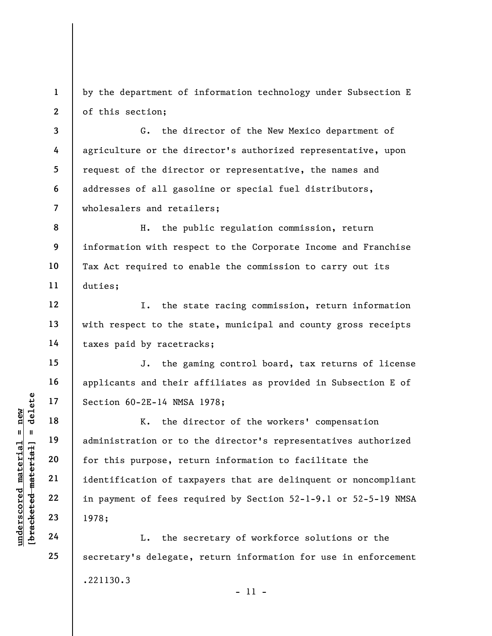1 2 by the department of information technology under Subsection E of this section;

3 4 5 6 7 G. the director of the New Mexico department of agriculture or the director's authorized representative, upon request of the director or representative, the names and addresses of all gasoline or special fuel distributors, wholesalers and retailers;

8 9 10 11 H. the public regulation commission, return information with respect to the Corporate Income and Franchise Tax Act required to enable the commission to carry out its duties;

I. the state racing commission, return information with respect to the state, municipal and county gross receipts taxes paid by racetracks;

J. the gaming control board, tax returns of license applicants and their affiliates as provided in Subsection E of Section 60-2E-14 NMSA 1978;

understand material section 60-2E-14 NMSA<br>
understand material material material material administration or to<br>
exceed the section of this purpose, ret<br>
deleted material identification of tax<br>
identification of tax<br>
in pay K. the director of the workers' compensation administration or to the director's representatives authorized for this purpose, return information to facilitate the identification of taxpayers that are delinquent or noncompliant in payment of fees required by Section 52-1-9.1 or 52-5-19 NMSA 1978;

L. the secretary of workforce solutions or the secretary's delegate, return information for use in enforcement .221130.3 - 11 -

12

13

14

15

16

17

18

19

20

21

22

23

24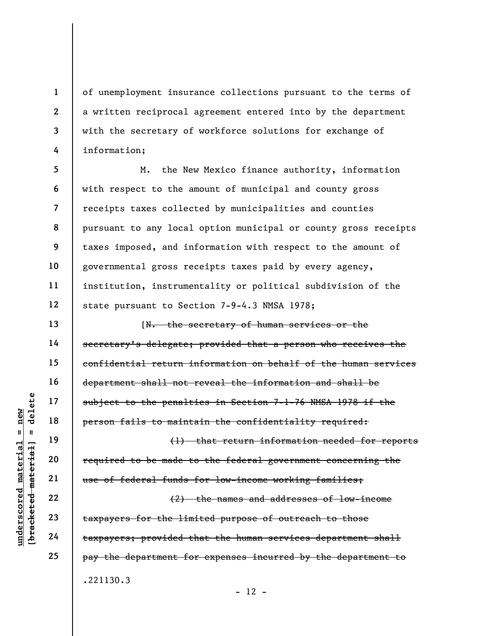of unemployment insurance collections pursuant to the terms of a written reciprocal agreement entered into by the department with the secretary of workforce solutions for exchange of information;

5 6 7 8 9 10 11 12 M. the New Mexico finance authority, information with respect to the amount of municipal and county gross receipts taxes collected by municipalities and counties pursuant to any local option municipal or county gross receipts taxes imposed, and information with respect to the amount of governmental gross receipts taxes paid by every agency, institution, instrumentality or political subdivision of the state pursuant to Section 7-9-4.3 NMSA 1978;

understand material subject to the penalt<br>
and the person fails to maint<br>
person fails to maint<br>
(1)<br>
required to be made t<br>
required to be made t<br>
(2)<br>
required to be made t<br>
required to be made t<br>
dependent<br>
22<br>
taxpayer [N. the secretary of human services or the secretary's delegate; provided that a person who receives the confidential return information on behalf of the human services department shall not reveal the information and shall be subject to the penalties in Section 7-1-76 NMSA 1978 if the person fails to maintain the confidentiality required: (1) that return information needed for reports required to be made to the federal government concerning the

use of federal funds for low-income working families;

(2) the names and addresses of low-income taxpayers for the limited purpose of outreach to those taxpayers; provided that the human services department shall pay the department for expenses incurred by the department to .221130.3

 $- 12 -$ 

1

2

3

4

13

14

15

16

17

18

19

20

21

22

23

24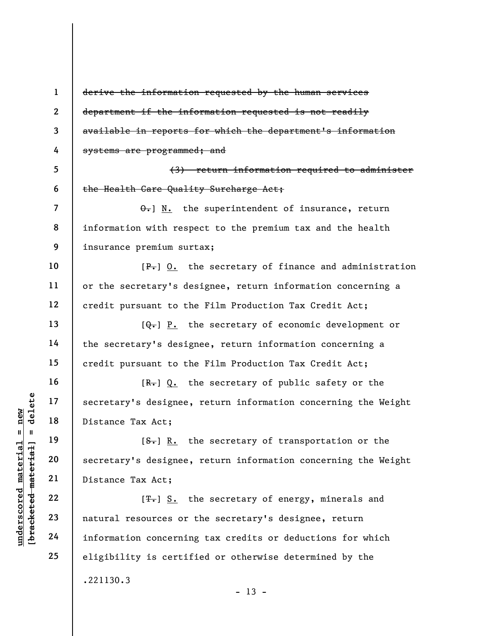underscore and the secretary's designee,<br>  $\begin{array}{c|c|c|c} \text{ucl } 17 & \text{secretary's designer}, \ \hline \text{ucl } 19 & \text{ucl } 19 & \text{t. } \ \text{ucl } 10 & \text{secretary's designer}, \ \end{array}$ <br>
and the secretary's designee,<br>  $\begin{array}{c|c} \text{ucl } 21 & \text{bistance Tax Act}; \ \end{array}$ <br>  $\begin{array}{|c|c|c|c|c|}\hline$ 1 2 3 4 5 6 7 8 9 10 11 12 13 14 15 16 17 18 19 20 21 22 23 24 25 derive the information requested by the human services department if the information requested is not readily available in reports for which the department's information systems are programmed; and (3) return information required to administer the Health Care Quality Surcharge Act;  $\theta$ . N. the superintendent of insurance, return information with respect to the premium tax and the health insurance premium surtax;  $[P_{\tau}]$  0. the secretary of finance and administration or the secretary's designee, return information concerning a credit pursuant to the Film Production Tax Credit Act;  $[Q_{\tau}]$  P. the secretary of economic development or the secretary's designee, return information concerning a credit pursuant to the Film Production Tax Credit Act;  $[R-]$  Q. the secretary of public safety or the secretary's designee, return information concerning the Weight Distance Tax Act;  $[**S**$ . In the secretary of transportation or the secretary's designee, return information concerning the Weight Distance Tax Act;  $[T<sub>1</sub>]$  S. the secretary of energy, minerals and natural resources or the secretary's designee, return information concerning tax credits or deductions for which eligibility is certified or otherwise determined by the .221130.3  $- 13 -$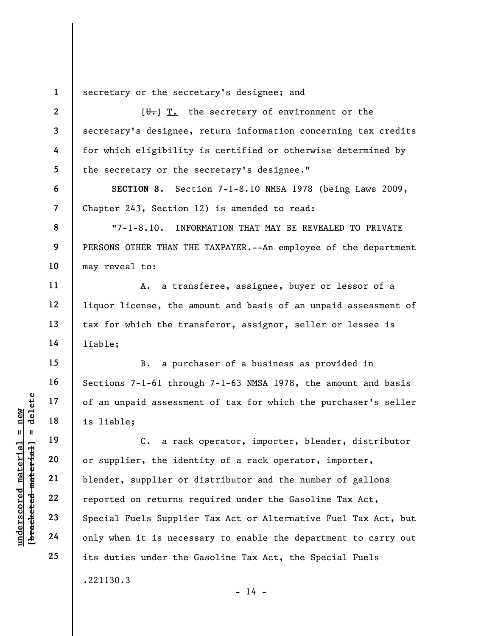1 secretary or the secretary's designee; and

 $[\overline{\mathbf{U}_{\bullet}}]$  T. the secretary of environment or the secretary's designee, return information concerning tax credits for which eligibility is certified or otherwise determined by the secretary or the secretary's designee."

SECTION 8. Section 7-1-8.10 NMSA 1978 (being Laws 2009, Chapter 243, Section 12) is amended to read:

"7-1-8.10. INFORMATION THAT MAY BE REVEALED TO PRIVATE PERSONS OTHER THAN THE TAXPAYER.--An employee of the department may reveal to:

A. a transferee, assignee, buyer or lessor of a liquor license, the amount and basis of an unpaid assessment of tax for which the transferor, assignor, seller or lessee is liable;

B. a purchaser of a business as provided in Sections 7-1-61 through 7-1-63 NMSA 1978, the amount and basis of an unpaid assessment of tax for which the purchaser's seller is liable;

understand material material of an unpaid assessment<br>
is liable;<br>
is liable;<br>
C. a rack<br>
or supplier, the iden<br>
blender, supplier or<br>
reported on returns reported on returns reported on returns reported on returns reported C. a rack operator, importer, blender, distributor or supplier, the identity of a rack operator, importer, blender, supplier or distributor and the number of gallons reported on returns required under the Gasoline Tax Act, Special Fuels Supplier Tax Act or Alternative Fuel Tax Act, but only when it is necessary to enable the department to carry out its duties under the Gasoline Tax Act, the Special Fuels .221130.3

 $- 14 -$ 

2

3

4

5

6

7

8

9

10

11

12

13

14

15

16

17

18

19

20

21

22

23

24